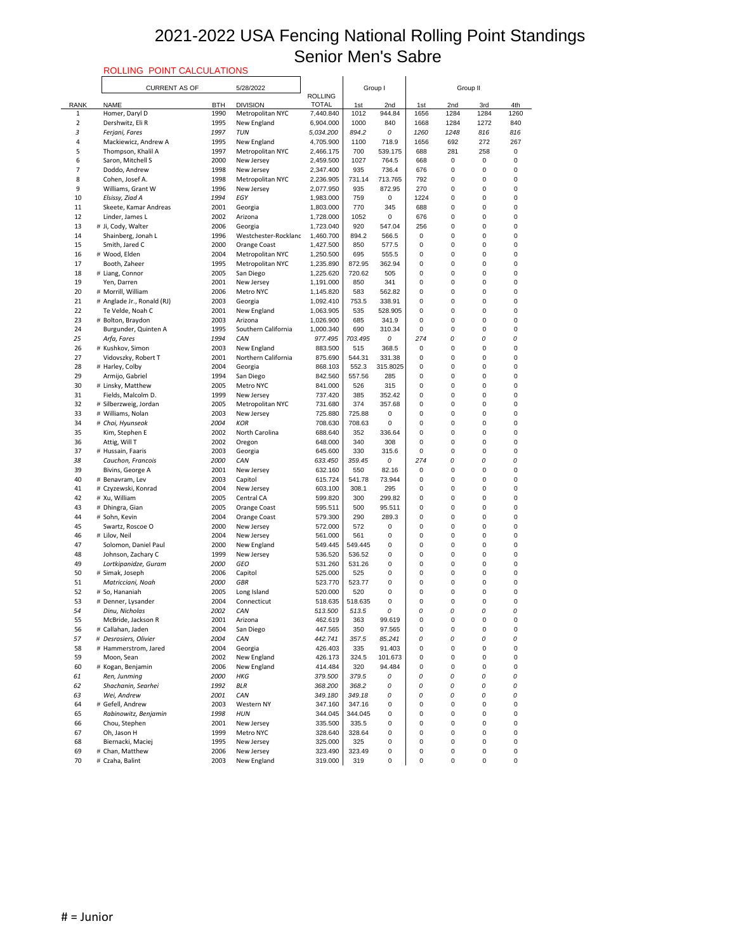# ROLLING POINT CALCULATIONS

|                | ROLLING POINT CALCULATIONS                     |              |                                |                        |                  |                  |             |                        |                  |        |
|----------------|------------------------------------------------|--------------|--------------------------------|------------------------|------------------|------------------|-------------|------------------------|------------------|--------|
|                | <b>CURRENT AS OF</b>                           |              | 5/28/2022                      | <b>ROLLING</b>         |                  | Group I          |             | Group II               |                  |        |
| <b>RANK</b>    | <b>NAME</b>                                    | <b>BTH</b>   | <b>DIVISION</b>                | <b>TOTAL</b>           | 1st              | 2nd              | 1st         | 2nd                    | 3rd              | 4th    |
| 1              | Homer, Daryl D                                 | 1990         | Metropolitan NYC               | 7,440.840              | 1012             | 944.84           | 1656        | 1284                   | 1284             | 1260   |
| $\overline{2}$ | Dershwitz, Eli R                               | 1995         | New England                    | 6,904.000              | 1000             | 840              | 1668        | 1284                   | 1272             | 840    |
| 3              | Ferjani, Fares                                 | 1997         | <b>TUN</b>                     | 5,034.200              | 894.2            | 0                | 1260        | 1248                   | 816              | 816    |
| 4              | Mackiewicz, Andrew A                           | 1995         | New England                    | 4,705.900              | 1100             | 718.9            | 1656        | 692                    | 272              | 267    |
| 5              | Thompson, Khalil A                             | 1997         | Metropolitan NYC               | 2,466.175              | 700              | 539.175          | 688         | 281                    | 258              | 0      |
| 6              | Saron, Mitchell S                              | 2000         | New Jersey                     | 2,459.500              | 1027             | 764.5            | 668         | $\pmb{0}$              | 0                | 0      |
| 7<br>8         | Doddo, Andrew<br>Cohen, Josef A.               | 1998<br>1998 | New Jersey<br>Metropolitan NYC | 2,347.400<br>2,236.905 | 935<br>731.14    | 736.4<br>713.765 | 676<br>792  | $\pmb{0}$<br>$\pmb{0}$ | 0<br>0           | 0<br>0 |
| 9              | Williams, Grant W                              | 1996         | New Jersey                     | 2,077.950              | 935              | 872.95           | 270         | 0                      | 0                | 0      |
| 10             | Elsissy, Ziad A                                | 1994         | EGY                            | 1,983.000              | 759              | 0                | 1224        | $\pmb{0}$              | 0                | 0      |
| 11             | Skeete, Kamar Andreas                          | 2001         | Georgia                        | 1,803.000              | 770              | 345              | 688         | $\pmb{0}$              | 0                | 0      |
| 12             | Linder, James L                                | 2002         | Arizona                        | 1,728.000              | 1052             | 0                | 676         | $\pmb{0}$              | 0                | 0      |
| 13             | # Ji, Cody, Walter                             | 2006         | Georgia                        | 1,723.040              | 920              | 547.04           | 256         | $\pmb{0}$              | 0                | 0      |
| 14             | Shainberg, Jonah L                             | 1996         | Westchester-Rockland           | 1,460.700              | 894.2            | 566.5            | $\pmb{0}$   | 0                      | 0                | 0      |
| 15             | Smith, Jared C                                 | 2000         | Orange Coast                   | 1,427.500              | 850              | 577.5            | 0           | 0                      | 0                | 0      |
| 16             | # Wood, Elden                                  | 2004         | Metropolitan NYC               | 1,250.500              | 695              | 555.5            | 0           | 0                      | 0                | 0      |
| 17             | Booth, Zaheer                                  | 1995         | Metropolitan NYC               | 1,235.890              | 872.95           | 362.94           | 0           | $\pmb{0}$              | 0                | 0      |
| 18             | # Liang, Connor                                | 2005         | San Diego                      | 1,225.620              | 720.62           | 505              | 0           | $\pmb{0}$              | 0                | 0      |
| 19             | Yen, Darren                                    | 2001         | New Jersey                     | 1,191.000              | 850              | 341              | 0           | $\pmb{0}$              | 0                | 0      |
| 20             | # Morrill, William                             | 2006         | Metro NYC                      | 1,145.820              | 583              | 562.82<br>338.91 | 0           | 0                      | 0                | 0      |
| 21<br>22       | # Anglade Jr., Ronald (RJ)<br>Te Velde, Noah C | 2003<br>2001 | Georgia<br>New England         | 1,092.410<br>1,063.905 | 753.5<br>535     | 528.905          | 0<br>0      | $\pmb{0}$<br>$\pmb{0}$ | 0<br>0           | 0<br>0 |
| 23             | # Bolton, Braydon                              | 2003         | Arizona                        | 1,026.900              | 685              | 341.9            | 0           | 0                      | 0                | 0      |
| 24             | Burgunder, Quinten A                           | 1995         | Southern California            | 1,000.340              | 690              | 310.34           | 0           | $\pmb{0}$              | 0                | 0      |
| 25             | Arfa, Fares                                    | 1994         | CAN                            | 977.495                | 703.495          | 0                | 274         | 0                      | 0                | 0      |
| 26             | # Kushkov, Simon                               | 2003         | New England                    | 883.500                | 515              | 368.5            | 0           | 0                      | 0                | 0      |
| 27             | Vidovszky, Robert T                            | 2001         | Northern California            | 875.690                | 544.31           | 331.38           | $\Omega$    | 0                      | 0                | 0      |
| 28             | # Harley, Colby                                | 2004         | Georgia                        | 868.103                | 552.3            | 315.8025         | 0           | 0                      | 0                | 0      |
| 29             | Armijo, Gabriel                                | 1994         | San Diego                      | 842.560                | 557.56           | 285              | $\pmb{0}$   | $\pmb{0}$              | $\mathbf 0$      | 0      |
| 30             | # Linsky, Matthew                              | 2005         | Metro NYC                      | 841.000                | 526              | 315              | 0           | 0                      | 0                | 0      |
| 31             | Fields, Malcolm D.                             | 1999         | New Jersey                     | 737.420                | 385              | 352.42           | 0           | 0                      | 0                | 0      |
| 32             | # Silberzweig, Jordan                          | 2005         | Metropolitan NYC               | 731.680                | 374              | 357.68           | 0           | $\pmb{0}$              | 0                | 0      |
| 33             | # Williams, Nolan                              | 2003         | New Jersey                     | 725.880                | 725.88           | 0                | 0           | 0                      | 0                | 0      |
| 34             | # Choi, Hyunseok                               | 2004         | <b>KOR</b>                     | 708.630                | 708.63           | 0                | 0           | 0                      | $\mathbf 0$      | 0      |
| 35             | Kim, Stephen E                                 | 2002         | North Carolina                 | 688.640                | 352              | 336.64           | 0           | 0                      | 0                | 0      |
| 36<br>37       | Attig, Will T<br># Hussain, Faaris             | 2002<br>2003 | Oregon                         | 648.000<br>645.600     | 340<br>330       | 308<br>315.6     | 0<br>0      | 0<br>$\pmb{0}$         | 0<br>0           | 0<br>0 |
| 38             | Cauchon, Francois                              | 2000         | Georgia<br>CAN                 | 633.450                | 359.45           | 0                | 274         | 0                      | 0                | 0      |
| 39             | Bivins, George A                               | 2001         | New Jersey                     | 632.160                | 550              | 82.16            | $\pmb{0}$   | $\pmb{0}$              | $\mathbf 0$      | 0      |
| 40             | # Benavram, Lev                                | 2003         | Capitol                        | 615.724                | 541.78           | 73.944           | 0           | $\pmb{0}$              | 0                | 0      |
| 41             | # Czyzewski, Konrad                            | 2004         | New Jersey                     | 603.100                | 308.1            | 295              | $\pmb{0}$   | $\pmb{0}$              | 0                | 0      |
| 42             | # Xu, William                                  | 2005         | Central CA                     | 599.820                | 300              | 299.82           | 0           | 0                      | 0                | 0      |
| 43             | # Dhingra, Gian                                | 2005         | Orange Coast                   | 595.511                | 500              | 95.511           | 0           | 0                      | 0                | 0      |
| 44             | # Sohn, Kevin                                  | 2004         | <b>Orange Coast</b>            | 579.300                | 290              | 289.3            | 0           | $\pmb{0}$              | $\mathbf 0$      | 0      |
| 45             | Swartz, Roscoe O                               | 2000         | New Jersey                     | 572.000                | 572              | 0                | 0           | 0                      | 0                | 0      |
| 46             | # Lilov, Neil                                  | 2004         | New Jersey                     | 561.000                | 561              | 0                | 0           | $\pmb{0}$              | 0                | 0      |
| 47             | Solomon, Daniel Paul                           | 2000         | New England                    | 549.445                | 549.445          | 0                | 0           | 0                      | 0                | 0      |
| 48             | Johnson, Zachary C                             | 1999         | New Jersey                     | 536.520                | 536.52           | 0                | 0           | $\pmb{0}$              | 0                | 0      |
| 49<br>50       | Lortkipanidze, Guram<br># Simak, Joseph        | 2000<br>2006 | <b>GEO</b><br>Capitol          | 531.260<br>525.000     | 531.26<br>525    | 0<br>0           | 0<br>0      | $\pmb{0}$<br>0         | $\mathbf 0$<br>0 | 0<br>0 |
| 51             | Matricciani, Noah                              | 2000         | <b>GBR</b>                     | 523.770                | 523.77           | 0                | $\pmb{0}$   | $\pmb{0}$              | 0                | 0      |
| 52             | # So, Hananiah                                 | 2005         | Long Island                    | 520.000                | 520              | 0                | 0           | 0                      | 0                | 0      |
| 53             | # Denner, Lysander                             | 2004         | Connecticut                    | 518.635                | 518.635          | 0                | 0           | 0                      | 0                | 0      |
| 54             | Dinu, Nicholas                                 | 2002         | CAN                            | 513.500                | 513.5            | 0                | 0           | 0                      | 0                | 0      |
| 55             | McBride, Jackson R                             | 2001         | Arizona                        | 462.619                | 363              | 99.619           | 0           | 0                      | 0                | 0      |
| 56             | # Callahan, Jaden                              | 2004         | San Diego                      | 447.565                | 350              | 97.565           | $\pmb{0}$   | $\pmb{0}$              | $\mathbf 0$      | 0      |
| 57             | # Desrosiers, Olivier                          | 2004         | CAN                            | 442.741                | 357.5            | 85.241           | 0           | 0                      | 0                | 0      |
| 58             | # Hammerstrom, Jared                           | 2004         | Georgia                        | 426.403                | 335              | 91.403           | $\Omega$    | $\pmb{0}$              | 0                | 0      |
| 59             | Moon, Sean                                     | 2002         | New England                    | 426.173                | 324.5            | 101.673          | 0           | $\pmb{0}$              | 0                | 0      |
| 60             | # Kogan, Benjamin                              | 2006         | New England                    | 414.484                | 320              | 94.484           | 0           | 0                      | 0                | 0      |
| 61             | Ren, Junming                                   | 2000         | <b>HKG</b>                     | 379.500                | 379.5            | 0                | 0           | 0                      | 0                | 0      |
| 62             | Shachanin, Searhei                             | 1992         | BLR                            | 368.200                | 368.2            | 0                | 0           | 0                      | 0                | 0      |
| 63             | Wei, Andrew<br># Gefell, Andrew                | 2001<br>2003 | CAN                            | 349.180<br>347.160     | 349.18<br>347.16 | 0<br>0           | 0<br>0      | 0<br>$\pmb{0}$         | 0<br>0           | 0      |
| 64<br>65       | Rabinowitz, Benjamin                           | 1998         | Western NY<br><b>HUN</b>       | 344.045                | 344.045          | $\mathbf 0$      | $\Omega$    | 0                      | 0                | 0<br>0 |
| 66             | Chou, Stephen                                  | 2001         | New Jersey                     | 335.500                | 335.5            | 0                | 0           | $\pmb{0}$              | 0                | 0      |
| 67             | Oh, Jason H                                    | 1999         | Metro NYC                      | 328.640                | 328.64           | $\boldsymbol{0}$ | 0           | $\pmb{0}$              | 0                | 0      |
| 68             | Biernacki, Maciej                              | 1995         | New Jersey                     | 325.000                | 325              | $\mathbf 0$      | 0           | $\pmb{0}$              | 0                | 0      |
| 69             | # Chan, Matthew                                | 2006         | New Jersey                     | 323.490                | 323.49           | 0                | 0           | $\pmb{0}$              | 0                | 0      |
| 70             | # Czaha, Balint                                | 2003         | New England                    | 319.000                | 319              | 0                | $\mathbf 0$ | 0                      | 0                | 0      |
|                |                                                |              |                                |                        |                  |                  |             |                        |                  |        |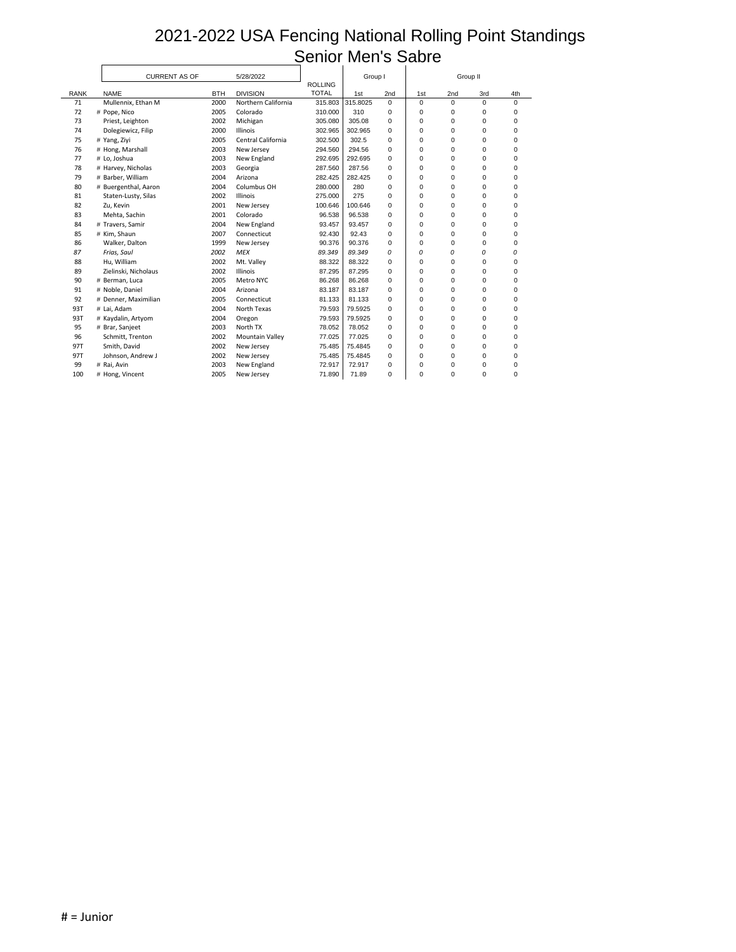|             | <b>CURRENT AS OF</b> |            | 5/28/2022              |                                | Group I  |             |              | Group II    |                  |             |
|-------------|----------------------|------------|------------------------|--------------------------------|----------|-------------|--------------|-------------|------------------|-------------|
| <b>RANK</b> | <b>NAME</b>          | <b>BTH</b> | <b>DIVISION</b>        | <b>ROLLING</b><br><b>TOTAL</b> | 1st      | 2nd         | 1st          | 2nd         | 3rd              | 4th         |
| 71          | Mullennix, Ethan M   | 2000       | Northern California    | 315.803                        | 315.8025 | $\mathbf 0$ | $\mathbf{0}$ | $\mathbf 0$ | $\mathbf 0$      | $\mathbf 0$ |
| 72          | # Pope, Nico         | 2005       | Colorado               | 310.000                        | 310      | 0           | 0            | 0           | 0                | 0           |
| 73          | Priest, Leighton     | 2002       | Michigan               | 305.080                        | 305.08   | 0           | 0            | 0           | 0                | 0           |
| 74          | Dolegiewicz, Filip   | 2000       | Illinois               | 302.965                        | 302.965  | $\pmb{0}$   | 0            | 0           | 0                | 0           |
| 75          | # Yang, Ziyi         | 2005       | Central California     | 302.500                        | 302.5    | 0           | 0            | 0           | 0                | 0           |
| 76          | # Hong, Marshall     | 2003       | New Jersey             | 294.560                        | 294.56   | 0           | $\Omega$     | 0           | 0                | 0           |
| 77          | # Lo, Joshua         | 2003       | New England            | 292.695                        | 292.695  | 0           | 0            | 0           | 0                | 0           |
| 78          | # Harvey, Nicholas   | 2003       | Georgia                | 287.560                        | 287.56   | 0           | 0            | 0           | 0                | 0           |
| 79          | # Barber, William    | 2004       | Arizona                | 282.425                        | 282.425  | $\pmb{0}$   | 0            | 0           | $\boldsymbol{0}$ | 0           |
| 80          | # Buergenthal, Aaron | 2004       | Columbus OH            | 280.000                        | 280      | 0           | 0            | 0           | 0                | 0           |
| 81          | Staten-Lusty, Silas  | 2002       | Illinois               | 275.000                        | 275      | 0           | 0            | 0           | 0                | 0           |
| 82          | Zu, Kevin            | 2001       | New Jersey             | 100.646                        | 100.646  | 0           | 0            | 0           | 0                | 0           |
| 83          | Mehta, Sachin        | 2001       | Colorado               | 96.538                         | 96.538   | 0           | 0            | 0           | 0                | 0           |
| 84          | # Travers, Samir     | 2004       | New England            | 93.457                         | 93.457   | 0           | 0            | 0           | 0                | 0           |
| 85          | # Kim, Shaun         | 2007       | Connecticut            | 92.430                         | 92.43    | 0           | 0            | 0           | 0                | 0           |
| 86          | Walker, Dalton       | 1999       | New Jersey             | 90.376                         | 90.376   | 0           | 0            | 0           | 0                | 0           |
| 87          | Frias, Saul          | 2002       | <b>MEX</b>             | 89.349                         | 89.349   | 0           | 0            | 0           | 0                | 0           |
| 88          | Hu, William          | 2002       | Mt. Valley             | 88.322                         | 88.322   | 0           | 0            | 0           | 0                | 0           |
| 89          | Zielinski, Nicholaus | 2002       | Illinois               | 87.295                         | 87.295   | 0           | 0            | 0           | 0                | 0           |
| 90          | # Berman, Luca       | 2005       | Metro NYC              | 86.268                         | 86.268   | 0           | 0            | 0           | 0                | 0           |
| 91          | # Noble, Daniel      | 2004       | Arizona                | 83.187                         | 83.187   | 0           | 0            | 0           | 0                | 0           |
| 92          | # Denner, Maximilian | 2005       | Connecticut            | 81.133                         | 81.133   | 0           | 0            | 0           | 0                | 0           |
| 93T         | # Lai, Adam          | 2004       | North Texas            | 79.593                         | 79.5925  | 0           | 0            | 0           | 0                | 0           |
| 93T         | # Kaydalin, Artyom   | 2004       | Oregon                 | 79.593                         | 79.5925  | 0           | 0            | 0           | 0                | 0           |
| 95          | # Brar, Sanjeet      | 2003       | North TX               | 78.052                         | 78.052   | 0           | 0            | 0           | 0                | 0           |
| 96          | Schmitt, Trenton     | 2002       | <b>Mountain Valley</b> | 77.025                         | 77.025   | 0           | 0            | 0           | 0                | 0           |
| 97T         | Smith, David         | 2002       | New Jersey             | 75.485                         | 75.4845  | 0           | 0            | 0           | 0                | 0           |
| 97T         | Johnson, Andrew J    | 2002       | New Jersey             | 75.485                         | 75.4845  | 0           | 0            | 0           | 0                | 0           |
| 99          | # Rai, Avin          | 2003       | New England            | 72.917                         | 72.917   | 0           | 0            | 0           | 0                | 0           |
| 100         | # Hong, Vincent      | 2005       | New Jersey             | 71.890                         | 71.89    | $\mathbf 0$ | 0            | 0           | 0                | 0           |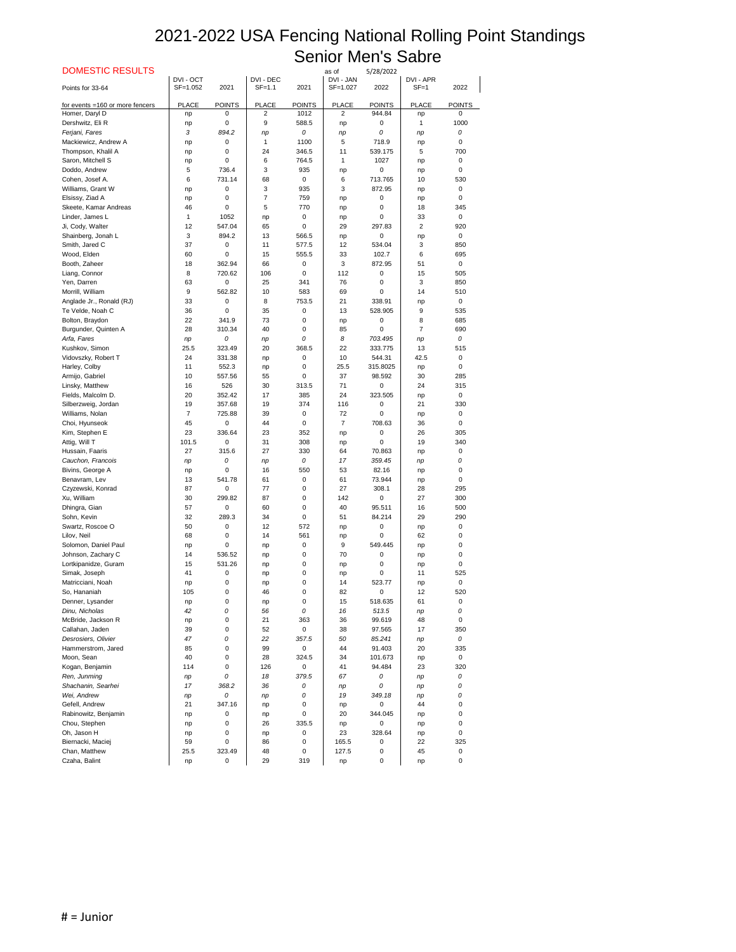| <b>DOMESTIC RESULTS</b>         |              |               |                |               | as of           | 5/28/2022     |                |               |
|---------------------------------|--------------|---------------|----------------|---------------|-----------------|---------------|----------------|---------------|
|                                 | DVI - OCT    |               | DVI - DEC      |               | DVI - JAN       |               | DVI - APR      |               |
| Points for 33-64                | SF=1.052     | 2021          | $SF=1.1$       | 2021          | SF=1.027        | 2022          | $SF = 1$       | 2022          |
| for events =160 or more fencers | <b>PLACE</b> | <b>POINTS</b> | <b>PLACE</b>   | <b>POINTS</b> | <b>PLACE</b>    | <b>POINTS</b> | <b>PLACE</b>   | <b>POINTS</b> |
| Homer, Daryl D                  | np           | 0             | $\overline{2}$ | 1012          | 2               | 944.84        | np             | 0             |
| Dershwitz, Eli R                | np           | 0             | 9              | 588.5         | np              | 0             | 1              | 1000          |
| Ferjani, Fares                  | 3            | 894.2         | np             | 0             | np              | 0             | np             | 0             |
| Mackiewicz, Andrew A            | np           | 0             | 1              | 1100          | 5               | 718.9         | np             | 0             |
| Thompson, Khalil A              | np           | 0             | 24             | 346.5         | 11              | 539.175       | 5              | 700           |
| Saron, Mitchell S               |              | 0             | 6              | 764.5         | 1               | 1027          | np             | 0             |
| Doddo, Andrew                   | np<br>5      | 736.4         | 3              | 935           |                 | 0             |                | 0             |
| Cohen, Josef A.                 | 6            | 731.14        | 68             | 0             | np<br>6         | 713.765       | np<br>10       | 530           |
| Williams, Grant W               |              |               | 3              | 935           | 3               | 872.95        |                | 0             |
|                                 | np           | 0             |                |               |                 |               | np             |               |
| Elsissy, Ziad A                 | np           | 0             | $\overline{7}$ | 759           | np              | 0             | np             | 0             |
| Skeete, Kamar Andreas           | 46           | 0             | 5              | 770           | np              | 0             | 18             | 345           |
| Linder, James L                 | 1            | 1052          | np             | 0             | np              | $\Omega$      | 33             | $\Omega$      |
| Ji, Cody, Walter                | 12           | 547.04        | 65             | 0             | 29              | 297.83        | $\overline{2}$ | 920           |
| Shainberg, Jonah L              | 3            | 894.2         | 13             | 566.5         | np              | 0             | np             | 0             |
| Smith, Jared C                  | 37           | 0             | 11             | 577.5         | 12              | 534.04        | 3              | 850           |
| Wood, Elden                     | 60           | 0             | 15             | 555.5         | 33              | 102.7         | 6              | 695           |
| Booth, Zaheer                   | 18           | 362.94        | 66             | 0             | 3               | 872.95        | 51             | 0             |
| Liang, Connor                   | 8            | 720.62        | 106            | 0             | 112             | 0             | 15             | 505           |
| Yen, Darren                     | 63           | 0             | 25             | 341           | 76              | $\Omega$      | 3              | 850           |
| Morrill, William                | 9            | 562.82        | 10             | 583           | 69              | $\Omega$      | 14             | 510           |
| Anglade Jr., Ronald (RJ)        | 33           | 0             | 8              | 753.5         | 21              | 338.91        | np             | 0             |
| Te Velde, Noah C                | 36           | 0             | 35             | 0             | 13              | 528.905       | 9              | 535           |
| Bolton, Braydon                 | 22           | 341.9         | 73             | 0             | np              | 0             | 8              | 685           |
| Burgunder, Quinten A            | 28           | 310.34        | 40             | 0             | 85              | $\Omega$      | $\overline{7}$ | 690           |
| Arfa, Fares                     | np           | 0             | np             | 0             | 8               | 703.495       | np             | 0             |
| Kushkov, Simon                  | 25.5         | 323.49        | 20             | 368.5         | 22              | 333.775       | 13             | 515           |
| Vidovszky, Robert T             | 24           | 331.38        | np             | $\mathbf 0$   | 10 <sup>°</sup> | 544.31        | 42.5           | $\mathbf 0$   |
| Harley, Colby                   | 11           | 552.3         | np             | 0             | 25.5            | 315.8025      | np             | 0             |
| Armijo, Gabriel                 | 10           | 557.56        | 55             | 0             | 37              | 98.592        | 30             | 285           |
| Linsky, Matthew                 | 16           | 526           | 30             | 313.5         | 71              | $\pmb{0}$     | 24             | 315           |
| Fields, Malcolm D.              | 20           | 352.42        | 17             | 385           | 24              | 323.505       | np             | 0             |
| Silberzweig, Jordan             | 19           | 357.68        | 19             | 374           | 116             | 0             | 21             | 330           |
| Williams, Nolan                 | 7            | 725.88        | 39             | 0             | 72              | 0             | np             | 0             |
| Choi, Hyunseok                  | 45           | 0             | 44             | 0             | $\overline{7}$  | 708.63        | 36             | 0             |
| Kim, Stephen E                  | 23           | 336.64        | 23             | 352           | np              | 0             | 26             | 305           |
| Attig, Will T                   | 101.5        | 0             | 31             | 308           | np              | $\Omega$      | 19             | 340           |
| Hussain, Faaris                 | 27           | 315.6         | 27             | 330           | 64              | 70.863        | np             | 0             |
| Cauchon, Francois               | np           | 0             | np             | 0             | 17              | 359.45        | np             | 0             |
| Bivins, George A                | np           | 0             | 16             | 550           | 53              | 82.16         | np             | 0             |
| Benavram, Lev                   | 13           | 541.78        | 61             | 0             | 61              | 73.944        | np             | 0             |
| Czyzewski, Konrad               | 87           | 0             | $77$           | 0             | 27              | 308.1         | 28             | 295           |
| Xu, William                     | 30           | 299.82        | 87             | 0             | 142             | 0             | 27             | 300           |
| Dhingra, Gian                   | 57           | 0             | 60             | 0             | 40              | 95.511        | 16             | 500           |
| Sohn, Kevin                     | 32           | 289.3         | 34             | 0             | 51              | 84.214        | 29             | 290           |
| Swartz, Roscoe O                | 50           | $\pmb{0}$     | 12             | 572           |                 | 0             |                | 0             |
| Lilov, Neil                     | 68           | 0             | 14             | 561           | np              | $\Omega$      | np<br>62       | 0             |
|                                 |              |               |                |               | np              | 549.445       |                |               |
| Solomon, Daniel Paul            | np           | 0             | np             | 0             | 9               |               | np             | 0             |
| Johnson, Zachary C              | 14           | 536.52        | np             | 0             | 70              | 0             | np             | 0             |
| Lortkipanidze, Guram            | 15           | 531.26        | np             | 0             | np              | $\Omega$      | np             | $\Omega$      |
| Simak, Joseph                   | 41           | 0             | np             | 0             | np              | 0             | 11             | 525           |
| Matricciani, Noah               | np           | 0             | np             | 0             | 14              | 523.77        | np             | 0             |
| So, Hananiah                    | 105          | 0             | 46             | 0             | 82              | $\mathbf 0$   | 12             | 520           |
| Denner, Lysander                | np           | 0             | np             | 0             | 15              | 518.635       | 61             | 0             |
| Dinu, Nicholas                  | 42           | 0             | 56             | 0             | 16              | 513.5         | np             | 0             |
| McBride, Jackson R              | np           | 0             | 21             | 363           | 36              | 99.619        | 48             | 0             |
| Callahan, Jaden                 | 39           | 0             | 52             | 0             | 38              | 97.565        | 17             | 350           |
| Desrosiers, Olivier             | 47           | 0             | 22             | 357.5         | 50              | 85.241        | np             | 0             |
| Hammerstrom, Jared              | 85           | 0             | 99             | 0             | 44              | 91.403        | 20             | 335           |
| Moon, Sean                      | 40           | 0             | 28             | 324.5         | 34              | 101.673       | np             | 0             |
| Kogan, Benjamin                 | 114          | 0             | 126            | 0             | 41              | 94.484        | 23             | 320           |
| Ren, Junming                    | np           | 0             | 18             | 379.5         | 67              | 0             | np             | 0             |
| Shachanin, Searhei              | 17           | 368.2         | 36             | 0             | np              | 0             | np             | 0             |
| Wei, Andrew                     | np           | 0             | np             | 0             | 19              | 349.18        | np             | 0             |
| Gefell, Andrew                  | 21           | 347.16        | np             | 0             | np              | $\Omega$      | 44             | 0             |
| Rabinowitz, Benjamin            | np           | 0             | np             | 0             | 20              | 344.045       | np             | 0             |
| Chou, Stephen                   | np           | 0             | 26             | 335.5         | np              | 0             | np             | 0             |
| Oh, Jason H                     | np           | 0             | np             | 0             | 23              | 328.64        | np             | 0             |
| Biernacki, Maciej               | 59           | 0             | 86             | 0             | 165.5           | 0             | 22             | 325           |
| Chan, Matthew                   | 25.5         | 323.49        | 48             | 0             | 127.5           | 0             | 45             | 0             |
| Czaha, Balint                   | np           | 0             | 29             | 319           | np              | 0             | np             | 0             |
|                                 |              |               |                |               |                 |               |                |               |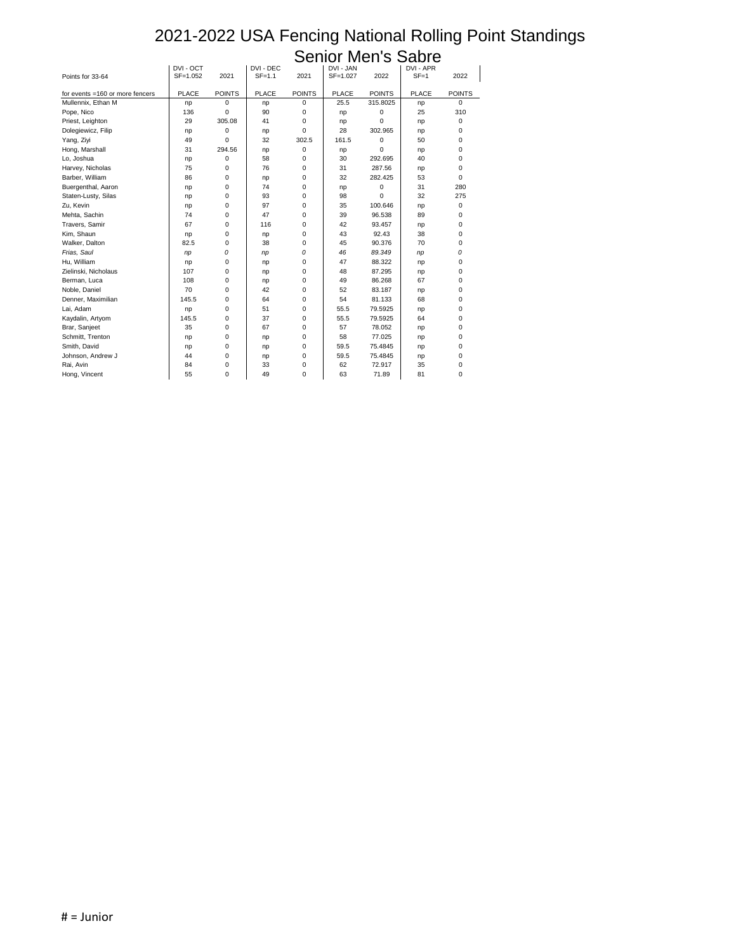|                                 |              |                  |              | <b>PELIINI</b> |              |               | <b>IVIEITS SADIE</b> |                  |
|---------------------------------|--------------|------------------|--------------|----------------|--------------|---------------|----------------------|------------------|
|                                 | DVI - OCT    |                  | DVI - DEC    |                | DVI - JAN    |               | DVI - APR            |                  |
| Points for 33-64                | SF=1.052     | 2021             | $SF=1.1$     | 2021           | SF=1.027     | 2022          | $SF = 1$             | 2022             |
| for events =160 or more fencers | <b>PLACE</b> | <b>POINTS</b>    | <b>PLACE</b> | <b>POINTS</b>  | <b>PLACE</b> | <b>POINTS</b> | <b>PLACE</b>         | <b>POINTS</b>    |
| Mullennix, Ethan M              | np           | $\overline{0}$   | np           | 0              | 25.5         | 315.8025      | np                   | $\mathbf 0$      |
| Pope, Nico                      | 136          | $\mathbf 0$      | 90           | 0              | np           | 0             | 25                   | 310              |
| Priest, Leighton                | 29           | 305.08           | 41           | 0              | np           | 0             | np                   | 0                |
| Dolegiewicz, Filip              | np           | 0                | np           | 0              | 28           | 302.965       | np                   | 0                |
| Yang, Ziyi                      | 49           | 0                | 32           | 302.5          | 161.5        | 0             | 50                   | 0                |
| Hong, Marshall                  | 31           | 294.56           | np           | 0              | np           | 0             | np                   | 0                |
| Lo, Joshua                      | np           | $\mathbf 0$      | 58           | 0              | 30           | 292.695       | 40                   | $\mathbf 0$      |
| Harvey, Nicholas                | 75           | 0                | 76           | 0              | 31           | 287.56        | np                   | 0                |
| Barber, William                 | 86           | 0                | np           | 0              | 32           | 282.425       | 53                   | 0                |
| Buergenthal, Aaron              | np           | 0                | 74           | 0              | np           | 0             | 31                   | 280              |
| Staten-Lusty, Silas             | np           | $\mathbf 0$      | 93           | 0              | 98           | 0             | 32                   | 275              |
| Zu, Kevin                       | np           | 0                | 97           | 0              | 35           | 100.646       | np                   | 0                |
| Mehta, Sachin                   | 74           | 0                | 47           | 0              | 39           | 96.538        | 89                   | 0                |
| Travers, Samir                  | 67           | 0                | 116          | 0              | 42           | 93.457        | np                   | 0                |
| Kim, Shaun                      | np           | $\boldsymbol{0}$ | np           | 0              | 43           | 92.43         | 38                   | 0                |
| Walker, Dalton                  | 82.5         | 0                | 38           | 0              | 45           | 90.376        | 70                   | $\Omega$         |
| Frias, Saul                     | np           | 0                | np           | 0              | 46           | 89.349        | np                   | 0                |
| Hu, William                     | np           | 0                | np           | 0              | 47           | 88.322        | np                   | 0                |
| Zielinski, Nicholaus            | 107          | 0                | np           | 0              | 48           | 87.295        | np                   | 0                |
| Berman, Luca                    | 108          | $\pmb{0}$        | np           | 0              | 49           | 86.268        | 67                   | $\boldsymbol{0}$ |
| Noble, Daniel                   | 70           | $\mathbf 0$      | 42           | 0              | 52           | 83.187        | np                   | 0                |
| Denner, Maximilian              | 145.5        | 0                | 64           | 0              | 54           | 81.133        | 68                   | 0                |
| Lai, Adam                       | np           | 0                | 51           | 0              | 55.5         | 79.5925       | np                   | 0                |
| Kaydalin, Artyom                | 145.5        | 0                | 37           | 0              | 55.5         | 79.5925       | 64                   | 0                |
| Brar, Sanjeet                   | 35           | $\pmb{0}$        | 67           | 0              | 57           | 78.052        | np                   | $\boldsymbol{0}$ |
| Schmitt, Trenton                | np           | $\pmb{0}$        | np           | 0              | 58           | 77.025        | np                   | 0                |
| Smith, David                    | np           | 0                | np           | 0              | 59.5         | 75.4845       | np                   | 0                |
| Johnson, Andrew J               | 44           | 0                | np           | 0              | 59.5         | 75.4845       | np                   | 0                |
| Rai, Avin                       | 84           | 0                | 33           | 0              | 62           | 72.917        | 35                   | 0                |
| Hong, Vincent                   | 55           | $\mathbf 0$      | 49           | $\overline{0}$ | 63           | 71.89         | 81                   | 0                |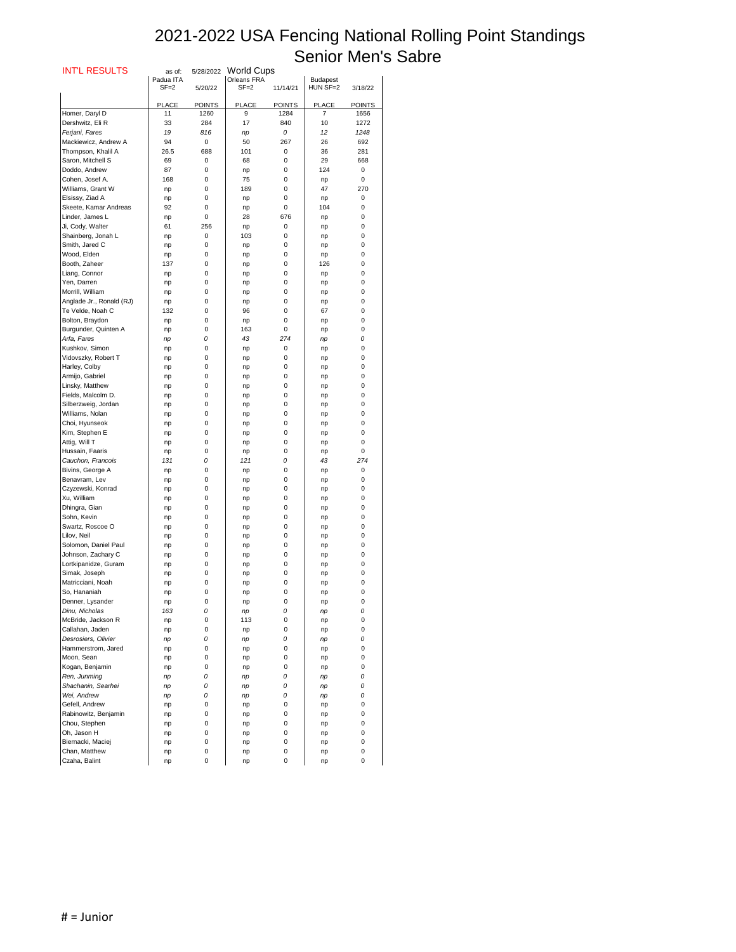| <b>INT'L RESULTS</b>                 | as of:                | 5/28/2022     | <b>World Cups</b>       |                  |                             |                  |
|--------------------------------------|-----------------------|---------------|-------------------------|------------------|-----------------------------|------------------|
|                                      | Padua ITA<br>$SF = 2$ |               | Orleans FRA<br>$SF = 2$ |                  | <b>Budapest</b><br>HUN SF=2 |                  |
|                                      |                       | 5/20/22       |                         | 11/14/21         |                             | 3/18/22          |
|                                      | <b>PLACE</b>          | <b>POINTS</b> | <b>PLACE</b>            | <b>POINTS</b>    | <b>PLACE</b>                | <b>POINTS</b>    |
| Homer, Daryl D                       | 11                    | 1260          | 9                       | 1284             | $\overline{7}$              | 1656             |
| Dershwitz, Eli R                     | 33                    | 284           | 17                      | 840              | 10                          | 1272             |
| Ferjani, Fares                       | 19                    | 816           | np                      | 0                | 12                          | 1248             |
| Mackiewicz, Andrew A                 | 94                    | $\mathbf 0$   | 50                      | 267              | 26                          | 692              |
| Thompson, Khalil A                   | 26.5                  | 688           | 101                     | $\mathbf 0$      | 36                          | 281              |
| Saron, Mitchell S                    | 69                    | 0             | 68                      | 0                | 29                          | 668              |
| Doddo, Andrew                        | 87                    | 0             | np                      | 0                | 124                         | 0                |
| Cohen, Josef A.                      | 168                   | $\mathbf 0$   | 75<br>189               | 0                | np<br>47                    | $\pmb{0}$<br>270 |
| Williams, Grant W<br>Elsissy, Ziad A | np                    | 0<br>0        |                         | 0<br>0           |                             | 0                |
| Skeete, Kamar Andreas                | np<br>92              | 0             | np<br>np                | 0                | np<br>104                   | 0                |
| Linder, James L                      | np                    | 0             | 28                      | 676              | np                          | 0                |
| Ji, Cody, Walter                     | 61                    | 256           | np                      | 0                | np                          | 0                |
| Shainberg, Jonah L                   | np                    | $\mathbf 0$   | 103                     | 0                | np                          | 0                |
| Smith, Jared C                       | np                    | 0             | np                      | 0                | np                          | 0                |
| Wood, Elden                          | np                    | 0             | np                      | 0                | np                          | 0                |
| Booth, Zaheer                        | 137                   | 0             | np                      | 0                | 126                         | 0                |
| Liang, Connor                        | np                    | 0             | np                      | 0                | np                          | 0                |
| Yen, Darren                          | np                    | 0             | np                      | 0                | np                          | 0                |
| Morrill, William                     | np                    | 0             | np                      | 0                | np                          | 0                |
| Anglade Jr., Ronald (RJ)             | np                    | 0             | np                      | 0                | np                          | 0                |
| Te Velde, Noah C                     | 132                   | 0             | 96                      | 0                | 67                          | 0                |
| Bolton, Braydon                      | np                    | 0             | np                      | 0                | np                          | 0                |
| Burgunder, Quinten A                 | np                    | 0             | 163                     | 0                | np                          | 0                |
| Arfa, Fares<br>Kushkov, Simon        | np                    | 0             | 43                      | 274              | np                          | 0                |
| Vidovszky, Robert T                  | np                    | 0<br>0        | np                      | $\mathbf 0$<br>0 | np                          | 0<br>$\Omega$    |
| Harley, Colby                        | np<br>np              | 0             | np<br>np                | $\mathbf 0$      | np<br>np                    | 0                |
| Armijo, Gabriel                      | np                    | 0             | np                      | 0                | np                          | 0                |
| Linsky, Matthew                      | np                    | 0             | np                      | 0                | np                          | 0                |
| Fields, Malcolm D.                   | np                    | 0             | np                      | 0                | np                          | 0                |
| Silberzweig, Jordan                  | np                    | 0             | np                      | 0                | np                          | 0                |
| Williams, Nolan                      | np                    | 0             | np                      | 0                | np                          | 0                |
| Choi, Hyunseok                       | np                    | 0             | np                      | 0                | np                          | 0                |
| Kim, Stephen E                       | np                    | 0             | np                      | 0                | np                          | 0                |
| Attig, Will T                        | np                    | 0             | np                      | 0                | np                          | 0                |
| Hussain, Faaris                      | np                    | 0             | np                      | 0                | np                          | 0                |
| Cauchon, Francois                    | 131                   | 0             | 121                     | 0                | 43                          | 274              |
| Bivins, George A<br>Benavram, Lev    | np                    | 0             | np                      | 0                | np                          | $\mathbf 0$      |
| Czyzewski, Konrad                    | np                    | 0<br>0        | np                      | 0<br>0           | np                          | 0<br>0           |
| Xu, William                          | np<br>np              | 0             | np<br>np                | 0                | np<br>np                    | 0                |
| Dhingra, Gian                        | np                    | 0             | np                      | 0                | np                          | 0                |
| Sohn, Kevin                          | np                    | 0             | np                      | 0                | np                          | 0                |
| Swartz, Roscoe O                     | np                    | 0             | np                      | 0                | np                          | 0                |
| Lilov, Neil                          | np                    | 0             | np                      | 0                | np                          | 0                |
| Solomon, Daniel Paul                 | np                    | 0             | np                      | 0                | np                          | 0                |
| Johnson, Zachary C                   | np                    | 0             | np                      | 0                | np                          | 0                |
| Lortkipanidze, Guram                 | np                    | 0             | np                      | 0                | np                          | 0                |
| Simak, Joseph                        | np                    | 0             | np                      | 0                | np                          | 0                |
| Matricciani, Noah                    | np                    | 0             | np                      | 0                | np                          | 0                |
| So, Hananiah                         | np                    | 0             | np                      | 0                | np                          | 0                |
| Denner, Lysander<br>Dinu, Nicholas   | np<br>163             | 0<br>0        | np                      | 0<br>0           | np                          | 0<br>0           |
| McBride, Jackson R                   | np                    | 0             | np<br>113               | 0                | np<br>np                    | 0                |
| Callahan, Jaden                      | np                    | 0             | np                      | 0                | np                          | O                |
| Desrosiers, Olivier                  | np                    | 0             | np                      | 0                | np                          | 0                |
| Hammerstrom, Jared                   | np                    | 0             | np                      | 0                | np                          | 0                |
| Moon, Sean                           | np                    | 0             | np                      | 0                | np                          | 0                |
| Kogan, Benjamin                      | np                    | 0             | np                      | 0                | np                          | 0                |
| Ren, Junming                         | np                    | 0             | np                      | 0                | np                          | 0                |
| Shachanin, Searhei                   | np                    | 0             | np                      | 0                | np                          | 0                |
| Wei, Andrew                          | np                    | 0             | np                      | 0                | np                          | 0                |
| Gefell, Andrew                       | np                    | 0             | np                      | 0                | np                          | 0                |
| Rabinowitz, Benjamin                 | np                    | 0             | np                      | 0                | np                          | 0                |
| Chou, Stephen                        | np                    | 0             | np                      | 0                | np                          | 0                |
| Oh, Jason H                          | np                    | 0             | np                      | 0                | np                          | 0                |
| Biernacki, Maciej                    | np                    | 0             | np                      | 0                | np                          | 0                |
| Chan, Matthew<br>Czaha, Balint       | np<br>np              | 0<br>0        | np<br>np                | 0<br>0           | np<br>np                    | 0<br>0           |
|                                      |                       |               |                         |                  |                             |                  |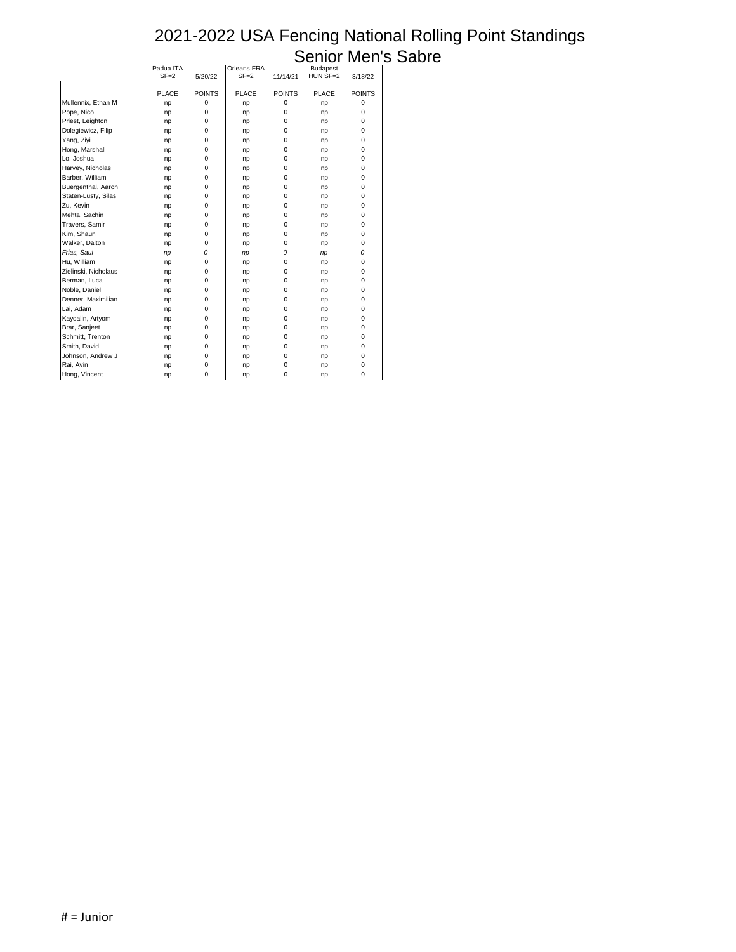|                      |              |                  |              |                  | ノマロレコ           |               |  |
|----------------------|--------------|------------------|--------------|------------------|-----------------|---------------|--|
|                      | Padua ITA    |                  | Orleans FRA  |                  | <b>Budapest</b> |               |  |
|                      | $SF = 2$     | 5/20/22          | $SF = 2$     | 11/14/21         | HUN SF=2        | 3/18/22       |  |
|                      | <b>PLACE</b> | <b>POINTS</b>    | <b>PLACE</b> | <b>POINTS</b>    | <b>PLACE</b>    | <b>POINTS</b> |  |
| Mullennix, Ethan M   | np           | $\pmb{0}$        | np           | $\boldsymbol{0}$ | np              | 0             |  |
| Pope, Nico           | np           | $\boldsymbol{0}$ | np           | $\mathbf 0$      | np              | 0             |  |
| Priest, Leighton     | np           | 0                | np           | $\mathbf 0$      | np              | 0             |  |
| Dolegiewicz, Filip   | np           | $\boldsymbol{0}$ | np           | $\mathbf 0$      | np              | 0             |  |
| Yang, Ziyi           | np           | $\boldsymbol{0}$ | np           | 0                | np              | 0             |  |
| Hong, Marshall       | np           | 0                | np           | 0                | np              | 0             |  |
| Lo, Joshua           | np           | 0                | np           | 0                | np              | 0             |  |
| Harvey, Nicholas     | np           | 0                | np           | $\mathbf 0$      | np              | 0             |  |
| Barber, William      | np           | 0                | np           | 0                | np              | 0             |  |
| Buergenthal, Aaron   | np           | 0                | np           | 0                | np              | 0             |  |
| Staten-Lusty, Silas  | np           | 0                | np           | 0                | np              | 0             |  |
| Zu, Kevin            | np           | 0                | np           | 0                | np              | 0             |  |
| Mehta, Sachin        | np           | 0                | np           | 0                | np              | 0             |  |
| Travers, Samir       | np           | 0                | np           | 0                | np              | 0             |  |
| Kim, Shaun           | np           | $\boldsymbol{0}$ | np           | 0                | np              | 0             |  |
| Walker, Dalton       | np           | 0                | np           | 0                | np              | 0             |  |
| Frias, Saul          | np           | 0                | np           | 0                | np              | 0             |  |
| Hu, William          | np           | 0                | np           | $\mathbf 0$      | np              | 0             |  |
| Zielinski, Nicholaus | np           | 0                | np           | 0                | np              | 0             |  |
| Berman, Luca         | np           | $\mathbf 0$      | np           | 0                | np              | 0             |  |
| Noble, Daniel        | np           | 0                | np           | 0                | np              | 0             |  |
| Denner, Maximilian   | np           | 0                | np           | 0                | np              | 0             |  |
| Lai, Adam            | np           | 0                | np           | 0                | np              | 0             |  |
| Kaydalin, Artyom     | np           | 0                | np           | 0                | np              | 0             |  |
| Brar, Sanjeet        | np           | $\boldsymbol{0}$ | np           | 0                | np              | 0             |  |
| Schmitt, Trenton     | np           | 0                | np           | 0                | np              | 0             |  |
| Smith, David         | np           | 0                | np           | 0                | np              | 0             |  |
| Johnson, Andrew J    | np           | 0                | np           | $\mathbf 0$      | np              | 0             |  |
| Rai, Avin            | np           | 0                | np           | 0                | np              | 0             |  |
| Hong, Vincent        | np           | $\mathbf 0$      | np           | $\mathbf 0$      | np              | 0             |  |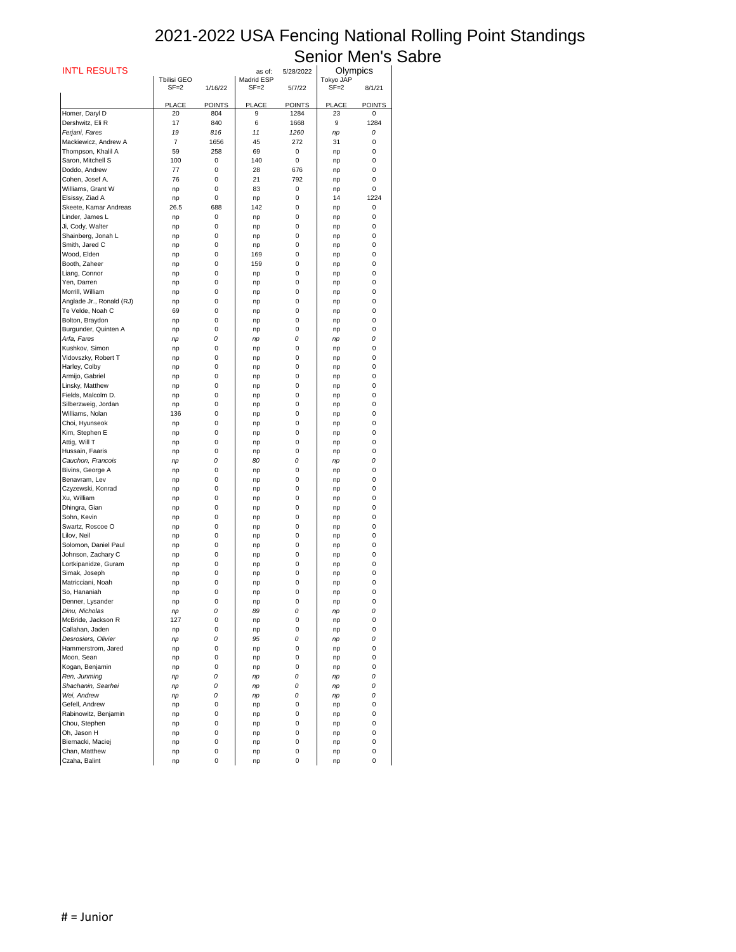| <b>INT'L RESULTS</b>                   |                                |               | as of:                 | 5/28/2022     | Olympics              |               |
|----------------------------------------|--------------------------------|---------------|------------------------|---------------|-----------------------|---------------|
|                                        | <b>Tbilisi GEO</b><br>$SF = 2$ | 1/16/22       | Madrid ESP<br>$SF = 2$ | 5/7/22        | Tokyo JAP<br>$SF = 2$ | 8/1/21        |
|                                        |                                |               |                        |               |                       |               |
|                                        | <b>PLACE</b>                   | <b>POINTS</b> | <b>PLACE</b>           | <b>POINTS</b> | <b>PLACE</b>          | <b>POINTS</b> |
| Homer, Daryl D                         | 20                             | 804           | 9                      | 1284          | 23                    | 0             |
| Dershwitz, Eli R                       | 17                             | 840           | 6                      | 1668          | 9                     | 1284          |
| Ferjani, Fares<br>Mackiewicz, Andrew A | 19<br>$\overline{7}$           | 816<br>1656   | 11<br>45               | 1260<br>272   | np<br>31              | 0<br>0        |
| Thompson, Khalil A                     | 59                             | 258           | 69                     | 0             | np                    | 0             |
| Saron, Mitchell S                      | 100                            | 0             | 140                    | $\mathbf 0$   | np                    | 0             |
| Doddo, Andrew                          | 77                             | 0             | 28                     | 676           | np                    | 0             |
| Cohen, Josef A.                        | 76                             | 0             | 21                     | 792           | np                    | 0             |
| Williams, Grant W                      | np                             | 0             | 83                     | 0             | np                    | 0             |
| Elsissy, Ziad A                        | np                             | 0             | np                     | 0             | 14                    | 1224          |
| Skeete, Kamar Andreas                  | 26.5                           | 688           | 142                    | 0             | np                    | 0             |
| Linder, James L                        | np                             | 0             | np                     | 0             | np                    | 0             |
| Ji, Cody, Walter                       | np                             | 0             | np                     | 0             | np                    | 0             |
| Shainberg, Jonah L                     | np                             | 0             | np                     | 0             | np                    | 0             |
| Smith, Jared C<br>Wood, Elden          | np                             | 0<br>0        | np<br>169              | 0<br>0        | np                    | 0<br>0        |
| Booth, Zaheer                          | np                             | 0             | 159                    | 0             | np                    | 0             |
| Liang, Connor                          | np<br>np                       | 0             | np                     | 0             | np<br>np              | 0             |
| Yen, Darren                            | np                             | 0             | np                     | 0             | np                    | 0             |
| Morrill, William                       | np                             | 0             | np                     | 0             | np                    | 0             |
| Anglade Jr., Ronald (RJ)               | np                             | 0             | np                     | 0             | np                    | 0             |
| Te Velde, Noah C                       | 69                             | 0             | np                     | 0             | np                    | 0             |
| Bolton, Braydon                        | np                             | 0             | np                     | 0             | np                    | 0             |
| Burgunder, Quinten A                   | np                             | 0             | np                     | 0             | np                    | 0             |
| Arfa, Fares                            | np                             | 0             | np                     | 0             | np                    | 0             |
| Kushkov, Simon                         | np                             | 0             | np                     | 0             | np                    | $\pmb{0}$     |
| Vidovszky, Robert T                    | np                             | 0             | np                     | 0             | np                    | 0             |
| Harley, Colby                          | np                             | 0             | np                     | 0             | np                    | 0             |
| Armijo, Gabriel                        | np                             | 0             | np                     | 0             | np                    | 0             |
| Linsky, Matthew                        | np                             | 0             | np                     | 0             | np                    | 0             |
| Fields, Malcolm D.                     | np                             | 0             | np                     | 0             | np                    | 0             |
| Silberzweig, Jordan                    | np                             | 0             | np                     | 0             | np                    | 0             |
| Williams, Nolan<br>Choi, Hyunseok      | 136                            | 0<br>0        | np                     | 0<br>0        | np                    | 0<br>0        |
| Kim, Stephen E                         | np<br>np                       | 0             | np<br>np               | 0             | np<br>np              | 0             |
| Attig, Will T                          | np                             | 0             | np                     | 0             | np                    | 0             |
| Hussain, Faaris                        | np                             | 0             | np                     | 0             | np                    | 0             |
| Cauchon, Francois                      | np                             | 0             | 80                     | 0             | np                    | 0             |
| Bivins, George A                       | np                             | 0             | np                     | 0             | np                    | 0             |
| Benavram, Lev                          | np                             | 0             | np                     | 0             | np                    | 0             |
| Czyzewski, Konrad                      | np                             | 0             | np                     | 0             | np                    | 0             |
| Xu, William                            | np                             | 0             | np                     | 0             | np                    | 0             |
| Dhingra, Gian                          | np                             | 0             | np                     | 0             | np                    | 0             |
| Sohn, Kevin                            | np                             | 0             | np                     | 0             | np                    | 0             |
| Swartz, Roscoe O                       | np                             | 0             | np                     | 0             | np                    | 0             |
| Lilov, Neil                            | np                             | 0             | np                     | 0             | np                    | 0             |
| Solomon, Daniel Paul                   | np                             | 0             | np                     | 0             | np                    | 0             |
| Johnson, Zachary C                     | np                             | 0             | np                     | 0             | np                    | 0             |
| Lortkipanidze, Guram<br>Simak, Joseph  | np<br>np                       | 0<br>0        | np<br>np               | 0<br>0        | np<br>np              | 0<br>0        |
| Matricciani, Noah                      | np                             | 0             | np                     | 0             | np                    | 0             |
| So, Hananiah                           | np                             | 0             | np                     | 0             | np                    | 0             |
| Denner, Lysander                       | np                             | 0             | np                     | 0             | np                    | 0             |
| Dinu, Nicholas                         | np                             | 0             | 89                     | 0             | np                    | 0             |
| McBride, Jackson R                     | 127                            | 0             | np                     | 0             | np                    | 0             |
| Callahan, Jaden                        | np                             | 0             | np                     | 0             | np                    | 0             |
| Desrosiers, Olivier                    | np                             | 0             | 95                     | 0             | np                    | 0             |
| Hammerstrom, Jared                     | np                             | 0             | np                     | 0             | np                    | 0             |
| Moon, Sean                             | np                             | 0             | np                     | 0             | np                    | $\mathbf 0$   |
| Kogan, Benjamin                        | np                             | 0             | np                     | 0             | np                    | 0             |
| Ren, Junming                           | np                             | 0             | np                     | 0             | np                    | 0             |
| Shachanin, Searhei                     | np                             | 0             | np                     | 0             | np                    | 0             |
| Wei, Andrew                            | np                             | 0             | np                     | 0             | np                    | 0             |
| Gefell, Andrew                         | np                             | 0             | np                     | 0             | np                    | 0             |
| Rabinowitz, Benjamin                   | np                             | 0             | np                     | 0             | np                    | 0             |
| Chou, Stephen<br>Oh, Jason H           | np                             | 0<br>0        | np                     | 0<br>0        | np                    | 0<br>0        |
| Biernacki, Maciej                      | np<br>np                       | 0             | np<br>np               | 0             | np<br>np              | 0             |
| Chan, Matthew                          | np                             | 0             | np                     | 0             | np                    | 0             |
| Czaha, Balint                          | np                             | 0             | np                     | 0             | np                    | 0             |
|                                        |                                |               |                        |               |                       |               |